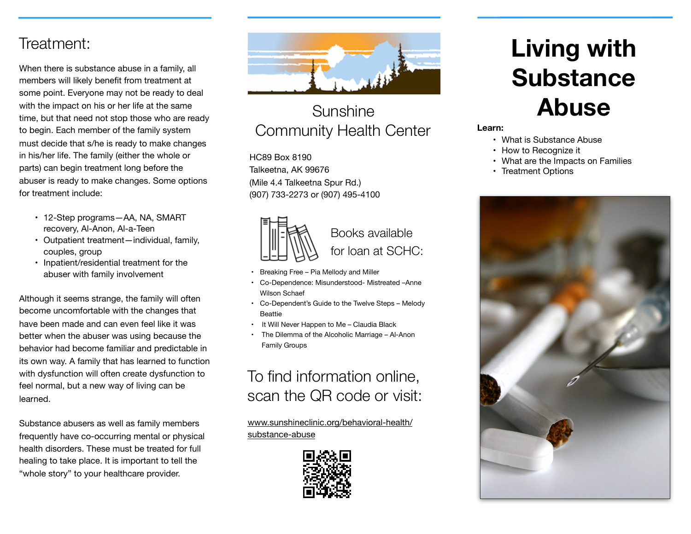#### Treatment:

When there is substance abuse in a family, all members will likely benefit from treatment at some point. Everyone may not be ready to deal with the impact on his or her life at the same time, but that need not stop those who are ready to begin. Each member of the family system must decide that s/he is ready to make changes in his/her life. The family (either the whole or parts) can begin treatment long before the abuser is ready to make changes. Some options for treatment include:

- 12-Step programs—AA, NA, SMART recovery, Al-Anon, Al-a-Teen
- Outpatient treatment—individual, family, couples, group
- Inpatient/residential treatment for the abuser with family involvement

Although it seems strange, the family will often become uncomfortable with the changes that have been made and can even feel like it was better when the abuser was using because the behavior had become familiar and predictable in its own way. A family that has learned to function with dysfunction will often create dysfunction to feel normal, but a new way of living can be learned.

Substance abusers as well as family members frequently have co-occurring mental or physical health disorders. These must be treated for full healing to take place. It is important to tell the "whole story" to your healthcare provider.



### Sunshine Community Health Center

HC89 Box 8190 Talkeetna, AK 99676 (Mile 4.4 Talkeetna Spur Rd.) (907) 733-2273 or (907) 495-4100



- Breaking Free Pia Mellody and Miller
- Co-Dependence: Misunderstood- Mistreated –Anne Wilson Schaef
- Co-Dependent's Guide to the Twelve Steps Melody Beattie
- It Will Never Happen to Me Claudia Black
- The Dilemma of the Alcoholic Marriage Al-Anon Family Groups

## To find information online, scan the QR code or visit:

[www.sunshineclinic.org/](http://www.sunshineclinic.org/)behavioral-health/ substance-abuse



# **Living with Substance Abuse**

#### **Learn:**

- What is Substance Abuse
- How to Recognize it
- What are the Impacts on Families
- Treatment Options